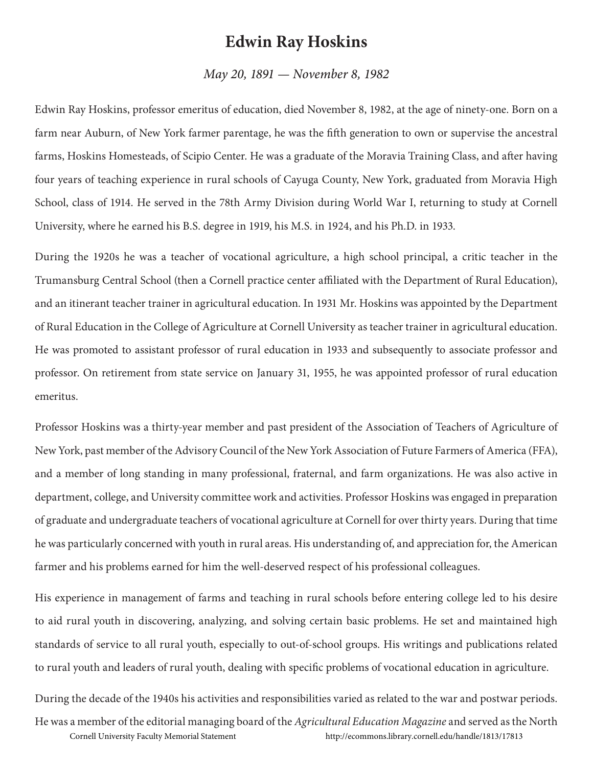## **Edwin Ray Hoskins**

## *May 20, 1891 — November 8, 1982*

Edwin Ray Hoskins, professor emeritus of education, died November 8, 1982, at the age of ninety-one. Born on a farm near Auburn, of New York farmer parentage, he was the fifth generation to own or supervise the ancestral farms, Hoskins Homesteads, of Scipio Center. He was a graduate of the Moravia Training Class, and after having four years of teaching experience in rural schools of Cayuga County, New York, graduated from Moravia High School, class of 1914. He served in the 78th Army Division during World War I, returning to study at Cornell University, where he earned his B.S. degree in 1919, his M.S. in 1924, and his Ph.D. in 1933.

During the 1920s he was a teacher of vocational agriculture, a high school principal, a critic teacher in the Trumansburg Central School (then a Cornell practice center affiliated with the Department of Rural Education), and an itinerant teacher trainer in agricultural education. In 1931 Mr. Hoskins was appointed by the Department of Rural Education in the College of Agriculture at Cornell University as teacher trainer in agricultural education. He was promoted to assistant professor of rural education in 1933 and subsequently to associate professor and professor. On retirement from state service on January 31, 1955, he was appointed professor of rural education emeritus.

Professor Hoskins was a thirty-year member and past president of the Association of Teachers of Agriculture of New York, past member of the Advisory Council of the New York Association of Future Farmers of America (FFA), and a member of long standing in many professional, fraternal, and farm organizations. He was also active in department, college, and University committee work and activities. Professor Hoskins was engaged in preparation of graduate and undergraduate teachers of vocational agriculture at Cornell for over thirty years. During that time he was particularly concerned with youth in rural areas. His understanding of, and appreciation for, the American farmer and his problems earned for him the well-deserved respect of his professional colleagues.

His experience in management of farms and teaching in rural schools before entering college led to his desire to aid rural youth in discovering, analyzing, and solving certain basic problems. He set and maintained high standards of service to all rural youth, especially to out-of-school groups. His writings and publications related to rural youth and leaders of rural youth, dealing with specific problems of vocational education in agriculture.

During the decade of the 1940s his activities and responsibilities varied as related to the war and postwar periods. He was a member of the editorial managing board of the *Agricultural Education Magazine* and served as the North Cornell University Faculty Memorial Statement http://ecommons.library.cornell.edu/handle/1813/17813